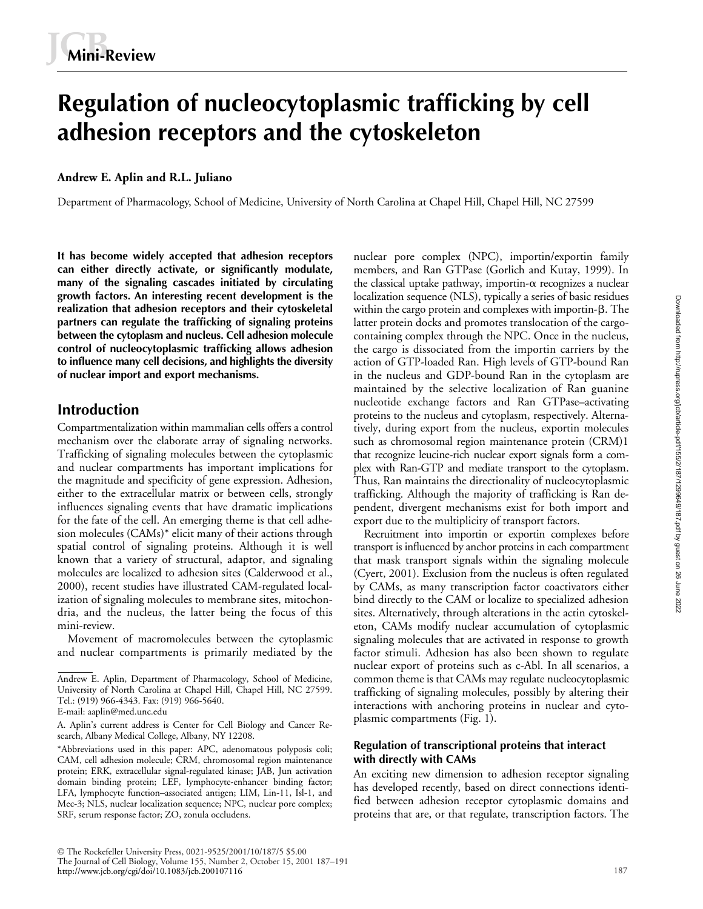# **Regulation of nucleocytoplasmic trafficking by cell adhesion receptors and the cytoskeleton**

### **Andrew E. Aplin and R.L. Juliano**

Department of Pharmacology, School of Medicine, University of North Carolina at Chapel Hill, Chapel Hill, NC 27599

**It has become widely accepted that adhesion receptors can either directly activate, or significantly modulate, many of the signaling cascades initiated by circulating growth factors. An interesting recent development is the realization that adhesion receptors and their cytoskeletal partners can regulate the trafficking of signaling proteins between the cytoplasm and nucleus. Cell adhesion molecule control of nucleocytoplasmic trafficking allows adhesion to influence many cell decisions, and highlights the diversity of nuclear import and export mechanisms.**

# **Introduction**

Compartmentalization within mammalian cells offers a control mechanism over the elaborate array of signaling networks. Trafficking of signaling molecules between the cytoplasmic and nuclear compartments has important implications for the magnitude and specificity of gene expression. Adhesion, either to the extracellular matrix or between cells, strongly influences signaling events that have dramatic implications for the fate of the cell. An emerging theme is that cell adhesion molecules (CAMs)\* elicit many of their actions through spatial control of signaling proteins. Although it is well known that a variety of structural, adaptor, and signaling molecules are localized to adhesion sites (Calderwood et al., 2000), recent studies have illustrated CAM-regulated localization of signaling molecules to membrane sites, mitochondria, and the nucleus, the latter being the focus of this mini-review.

Movement of macromolecules between the cytoplasmic and nuclear compartments is primarily mediated by the

nuclear pore complex (NPC), importin/exportin family members, and Ran GTPase (Gorlich and Kutay, 1999). In the classical uptake pathway, importin- $\alpha$  recognizes a nuclear localization sequence (NLS), typically a series of basic residues within the cargo protein and complexes with importin- $\beta$ . The latter protein docks and promotes translocation of the cargocontaining complex through the NPC. Once in the nucleus, the cargo is dissociated from the importin carriers by the action of GTP-loaded Ran. High levels of GTP-bound Ran in the nucleus and GDP-bound Ran in the cytoplasm are maintained by the selective localization of Ran guanine nucleotide exchange factors and Ran GTPase–activating proteins to the nucleus and cytoplasm, respectively. Alternatively, during export from the nucleus, exportin molecules such as chromosomal region maintenance protein (CRM)1 that recognize leucine-rich nuclear export signals form a complex with Ran-GTP and mediate transport to the cytoplasm. Thus, Ran maintains the directionality of nucleocytoplasmic trafficking. Although the majority of trafficking is Ran dependent, divergent mechanisms exist for both import and export due to the multiplicity of transport factors.

Recruitment into importin or exportin complexes before transport is influenced by anchor proteins in each compartment that mask transport signals within the signaling molecule (Cyert, 2001). Exclusion from the nucleus is often regulated by CAMs, as many transcription factor coactivators either bind directly to the CAM or localize to specialized adhesion sites. Alternatively, through alterations in the actin cytoskeleton, CAMs modify nuclear accumulation of cytoplasmic signaling molecules that are activated in response to growth factor stimuli. Adhesion has also been shown to regulate nuclear export of proteins such as c-Abl. In all scenarios, a common theme is that CAMs may regulate nucleocytoplasmic trafficking of signaling molecules, possibly by altering their interactions with anchoring proteins in nuclear and cytoplasmic compartments (Fig. 1).

#### **Regulation of transcriptional proteins that interact with directly with CAMs**

An exciting new dimension to adhesion receptor signaling has developed recently, based on direct connections identified between adhesion receptor cytoplasmic domains and proteins that are, or that regulate, transcription factors. The

Andrew E. Aplin, Department of Pharmacology, School of Medicine, University of North Carolina at Chapel Hill, Chapel Hill, NC 27599. Tel.: (919) 966-4343. Fax: (919) 966-5640.

E-mail: aaplin@med.unc.edu

A. Aplin's current address is Center for Cell Biology and Cancer Research, Albany Medical College, Albany, NY 12208.

<sup>\*</sup>Abbreviations used in this paper: APC, adenomatous polyposis coli; CAM, cell adhesion molecule; CRM, chromosomal region maintenance protein; ERK, extracellular signal-regulated kinase; JAB, Jun activation domain binding protein; LEF, lymphocyte-enhancer binding factor; LFA, lymphocyte function–associated antigen; LIM, Lin-11, Isl-1, and Mec-3; NLS, nuclear localization sequence; NPC, nuclear pore complex; SRF, serum response factor; ZO, zonula occludens.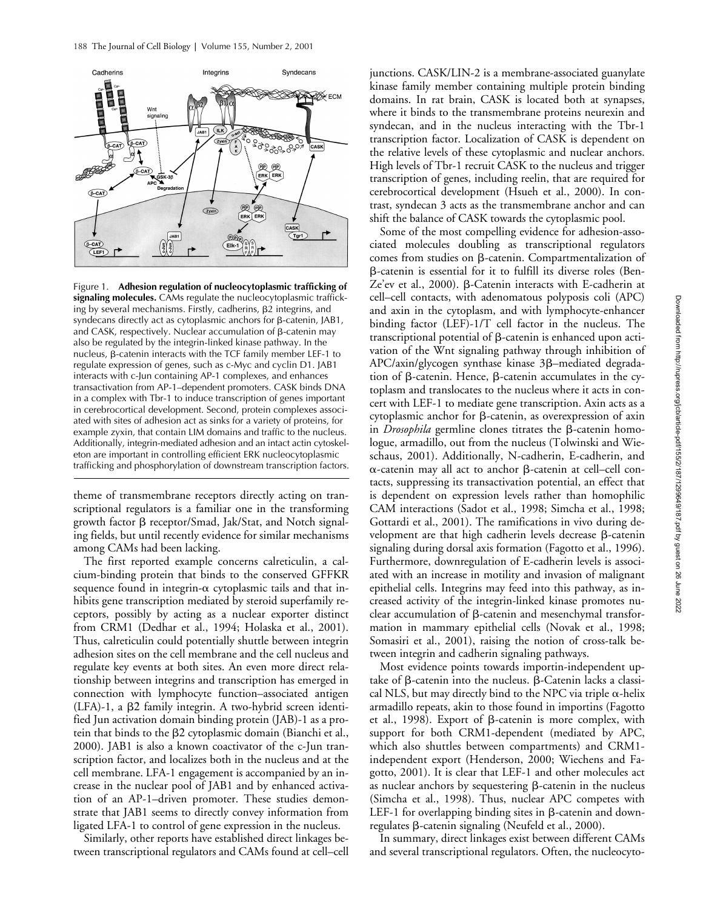

Figure 1. **Adhesion regulation of nucleocytoplasmic trafficking of signaling molecules.** CAMs regulate the nucleocytoplasmic trafficking by several mechanisms. Firstly, cadherins,  $\beta$ 2 integrins, and syndecans directly act as cytoplasmic anchors for  $\beta$ -catenin, JAB1, and CASK, respectively. Nuclear accumulation of  $\beta$ -catenin may also be regulated by the integrin-linked kinase pathway. In the  $nucleus$ ,  $\beta$ -catenin interacts with the TCF family member LEF-1 to regulate expression of genes, such as c-Myc and cyclin D1. JAB1 interacts with c-Jun containing AP-1 complexes, and enhances transactivation from AP-1–dependent promoters. CASK binds DNA in a complex with Tbr-1 to induce transcription of genes important in cerebrocortical development. Second, protein complexes associated with sites of adhesion act as sinks for a variety of proteins, for example zyxin, that contain LIM domains and traffic to the nucleus. Additionally, integrin-mediated adhesion and an intact actin cytoskeleton are important in controlling efficient ERK nucleocytoplasmic trafficking and phosphorylation of downstream transcription factors.

theme of transmembrane receptors directly acting on transcriptional regulators is a familiar one in the transforming growth factor  $\beta$  receptor/Smad, Jak/Stat, and Notch signaling fields, but until recently evidence for similar mechanisms among CAMs had been lacking.

The first reported example concerns calreticulin, a calcium-binding protein that binds to the conserved GFFKR sequence found in integrin- $\alpha$  cytoplasmic tails and that inhibits gene transcription mediated by steroid superfamily receptors, possibly by acting as a nuclear exporter distinct from CRM1 (Dedhar et al., 1994; Holaska et al., 2001). Thus, calreticulin could potentially shuttle between integrin adhesion sites on the cell membrane and the cell nucleus and regulate key events at both sites. An even more direct relationship between integrins and transcription has emerged in connection with lymphocyte function–associated antigen  $(LFA)-1$ , a  $\beta$ 2 family integrin. A two-hybrid screen identified Jun activation domain binding protein (JAB)-1 as a protein that binds to the  $\beta$ 2 cytoplasmic domain (Bianchi et al., 2000). JAB1 is also a known coactivator of the c-Jun transcription factor, and localizes both in the nucleus and at the cell membrane. LFA-1 engagement is accompanied by an increase in the nuclear pool of JAB1 and by enhanced activation of an AP-1–driven promoter. These studies demonstrate that JAB1 seems to directly convey information from ligated LFA-1 to control of gene expression in the nucleus.

Similarly, other reports have established direct linkages between transcriptional regulators and CAMs found at cell–cell junctions. CASK/LIN-2 is a membrane-associated guanylate kinase family member containing multiple protein binding domains. In rat brain, CASK is located both at synapses, where it binds to the transmembrane proteins neurexin and syndecan, and in the nucleus interacting with the Tbr-1 transcription factor. Localization of CASK is dependent on the relative levels of these cytoplasmic and nuclear anchors. High levels of Tbr-1 recruit CASK to the nucleus and trigger transcription of genes, including reelin, that are required for cerebrocortical development (Hsueh et al., 2000). In contrast, syndecan 3 acts as the transmembrane anchor and can shift the balance of CASK towards the cytoplasmic pool.

Some of the most compelling evidence for adhesion-associated molecules doubling as transcriptional regulators comes from studies on  $\beta$ -catenin. Compartmentalization of -catenin is essential for it to fulfill its diverse roles (Ben- $Ze'$ ev et al., 2000).  $\beta$ -Catenin interacts with E-cadherin at cell–cell contacts, with adenomatous polyposis coli (APC) and axin in the cytoplasm, and with lymphocyte-enhancer binding factor (LEF)-1/T cell factor in the nucleus. The transcriptional potential of  $\beta$ -catenin is enhanced upon activation of the Wnt signaling pathway through inhibition of APC/axin/glycogen synthase kinase 3ß–mediated degradation of  $\beta$ -catenin. Hence,  $\beta$ -catenin accumulates in the cytoplasm and translocates to the nucleus where it acts in concert with LEF-1 to mediate gene transcription. Axin acts as a  $c$ ytoplasmic anchor for  $\beta$ -catenin, as overexpression of axin in *Drosophila* germline clones titrates the  $\beta$ -catenin homologue, armadillo, out from the nucleus (Tolwinski and Wieschaus, 2001). Additionally, N-cadherin, E-cadherin, and α-catenin may all act to anchor β-catenin at cell–cell contacts, suppressing its transactivation potential, an effect that is dependent on expression levels rather than homophilic CAM interactions (Sadot et al., 1998; Simcha et al., 1998; Gottardi et al., 2001). The ramifications in vivo during development are that high cadherin levels decrease  $\beta$ -catenin signaling during dorsal axis formation (Fagotto et al., 1996). Furthermore, downregulation of E-cadherin levels is associated with an increase in motility and invasion of malignant epithelial cells. Integrins may feed into this pathway, as increased activity of the integrin-linked kinase promotes nuclear accumulation of  $\beta$ -catenin and mesenchymal transformation in mammary epithelial cells (Novak et al., 1998; Somasiri et al., 2001), raising the notion of cross-talk between integrin and cadherin signaling pathways.

Most evidence points towards importin-independent uptake of  $\beta$ -catenin into the nucleus.  $\beta$ -Catenin lacks a classical NLS, but may directly bind to the NPC via triple  $\alpha$ -helix armadillo repeats, akin to those found in importins (Fagotto et al., 1998). Export of  $\beta$ -catenin is more complex, with support for both CRM1-dependent (mediated by APC, which also shuttles between compartments) and CRM1 independent export (Henderson, 2000; Wiechens and Fagotto, 2001). It is clear that LEF-1 and other molecules act as nuclear anchors by sequestering  $\beta$ -catenin in the nucleus (Simcha et al., 1998). Thus, nuclear APC competes with LEF-1 for overlapping binding sites in  $\beta$ -catenin and down $regulates \beta$ -catenin signaling (Neufeld et al., 2000).

In summary, direct linkages exist between different CAMs and several transcriptional regulators. Often, the nucleocyto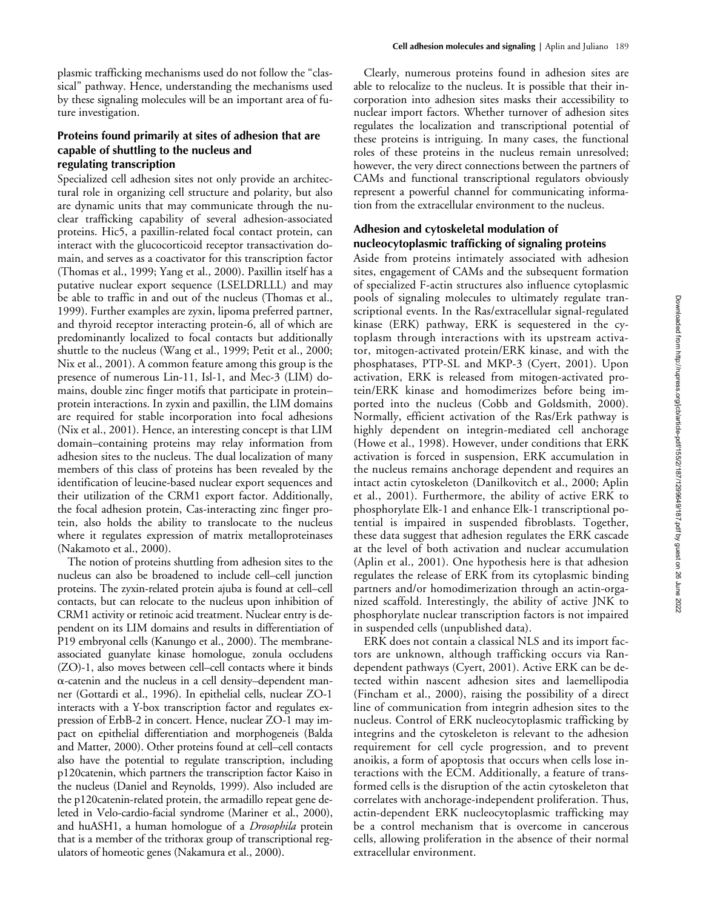plasmic trafficking mechanisms used do not follow the "classical" pathway. Hence, understanding the mechanisms used by these signaling molecules will be an important area of future investigation.

#### **Proteins found primarily at sites of adhesion that are capable of shuttling to the nucleus and regulating transcription**

Specialized cell adhesion sites not only provide an architectural role in organizing cell structure and polarity, but also are dynamic units that may communicate through the nuclear trafficking capability of several adhesion-associated proteins. Hic5, a paxillin-related focal contact protein, can interact with the glucocorticoid receptor transactivation domain, and serves as a coactivator for this transcription factor (Thomas et al., 1999; Yang et al., 2000). Paxillin itself has a putative nuclear export sequence (LSELDRLLL) and may be able to traffic in and out of the nucleus (Thomas et al., 1999). Further examples are zyxin, lipoma preferred partner, and thyroid receptor interacting protein-6, all of which are predominantly localized to focal contacts but additionally shuttle to the nucleus (Wang et al., 1999; Petit et al., 2000; Nix et al., 2001). A common feature among this group is the presence of numerous Lin-11, Isl-1, and Mec-3 (LIM) domains, double zinc finger motifs that participate in protein– protein interactions. In zyxin and paxillin, the LIM domains are required for stable incorporation into focal adhesions (Nix et al., 2001). Hence, an interesting concept is that LIM domain–containing proteins may relay information from adhesion sites to the nucleus. The dual localization of many members of this class of proteins has been revealed by the identification of leucine-based nuclear export sequences and their utilization of the CRM1 export factor. Additionally, the focal adhesion protein, Cas-interacting zinc finger protein, also holds the ability to translocate to the nucleus where it regulates expression of matrix metalloproteinases (Nakamoto et al., 2000).

The notion of proteins shuttling from adhesion sites to the nucleus can also be broadened to include cell–cell junction proteins. The zyxin-related protein ajuba is found at cell–cell contacts, but can relocate to the nucleus upon inhibition of CRM1 activity or retinoic acid treatment. Nuclear entry is dependent on its LIM domains and results in differentiation of P19 embryonal cells (Kanungo et al., 2000). The membraneassociated guanylate kinase homologue, zonula occludens (ZO)-1, also moves between cell–cell contacts where it binds --catenin and the nucleus in a cell density–dependent manner (Gottardi et al., 1996). In epithelial cells, nuclear ZO-1 interacts with a Y-box transcription factor and regulates expression of ErbB-2 in concert. Hence, nuclear ZO-1 may impact on epithelial differentiation and morphogeneis (Balda and Matter, 2000). Other proteins found at cell–cell contacts also have the potential to regulate transcription, including p120catenin, which partners the transcription factor Kaiso in the nucleus (Daniel and Reynolds, 1999). Also included are the p120catenin-related protein, the armadillo repeat gene deleted in Velo-cardio-facial syndrome (Mariner et al., 2000), and huASH1, a human homologue of a *Drosophila* protein that is a member of the trithorax group of transcriptional regulators of homeotic genes (Nakamura et al., 2000).

Clearly, numerous proteins found in adhesion sites are able to relocalize to the nucleus. It is possible that their incorporation into adhesion sites masks their accessibility to nuclear import factors. Whether turnover of adhesion sites regulates the localization and transcriptional potential of these proteins is intriguing. In many cases, the functional roles of these proteins in the nucleus remain unresolved; however, the very direct connections between the partners of CAMs and functional transcriptional regulators obviously represent a powerful channel for communicating information from the extracellular environment to the nucleus.

### **Adhesion and cytoskeletal modulation of nucleocytoplasmic trafficking of signaling proteins**

Aside from proteins intimately associated with adhesion sites, engagement of CAMs and the subsequent formation of specialized F-actin structures also influence cytoplasmic pools of signaling molecules to ultimately regulate transcriptional events. In the Ras/extracellular signal-regulated kinase (ERK) pathway, ERK is sequestered in the cytoplasm through interactions with its upstream activator, mitogen-activated protein/ERK kinase, and with the phosphatases, PTP-SL and MKP-3 (Cyert, 2001). Upon activation, ERK is released from mitogen-activated protein/ERK kinase and homodimerizes before being imported into the nucleus (Cobb and Goldsmith, 2000). Normally, efficient activation of the Ras/Erk pathway is highly dependent on integrin-mediated cell anchorage (Howe et al., 1998). However, under conditions that ERK activation is forced in suspension, ERK accumulation in the nucleus remains anchorage dependent and requires an intact actin cytoskeleton (Danilkovitch et al., 2000; Aplin et al., 2001). Furthermore, the ability of active ERK to phosphorylate Elk-1 and enhance Elk-1 transcriptional potential is impaired in suspended fibroblasts. Together, these data suggest that adhesion regulates the ERK cascade at the level of both activation and nuclear accumulation (Aplin et al., 2001). One hypothesis here is that adhesion regulates the release of ERK from its cytoplasmic binding partners and/or homodimerization through an actin-organized scaffold. Interestingly, the ability of active JNK to phosphorylate nuclear transcription factors is not impaired in suspended cells (unpublished data).

ERK does not contain a classical NLS and its import factors are unknown, although trafficking occurs via Randependent pathways (Cyert, 2001). Active ERK can be detected within nascent adhesion sites and laemellipodia (Fincham et al., 2000), raising the possibility of a direct line of communication from integrin adhesion sites to the nucleus. Control of ERK nucleocytoplasmic trafficking by integrins and the cytoskeleton is relevant to the adhesion requirement for cell cycle progression, and to prevent anoikis, a form of apoptosis that occurs when cells lose interactions with the ECM. Additionally, a feature of transformed cells is the disruption of the actin cytoskeleton that correlates with anchorage-independent proliferation. Thus, actin-dependent ERK nucleocytoplasmic trafficking may be a control mechanism that is overcome in cancerous cells, allowing proliferation in the absence of their normal extracellular environment.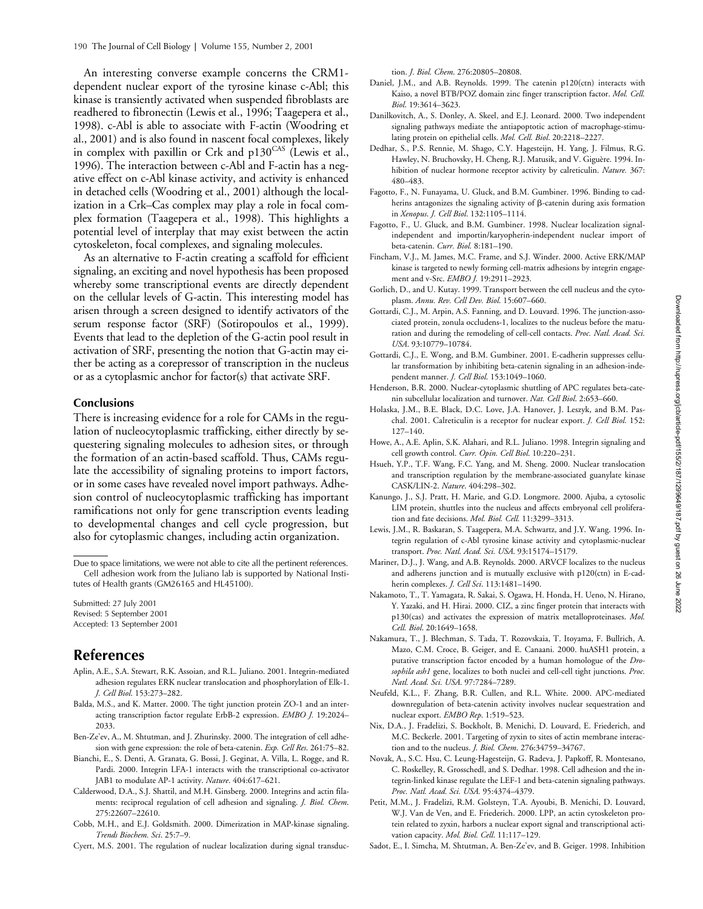An interesting converse example concerns the CRM1 dependent nuclear export of the tyrosine kinase c-Abl; this kinase is transiently activated when suspended fibroblasts are readhered to fibronectin (Lewis et al., 1996; Taagepera et al., 1998). c-Abl is able to associate with F-actin (Woodring et al., 2001) and is also found in nascent focal complexes, likely in complex with paxillin or Crk and  $p130^{\text{CAS}}$  (Lewis et al., 1996). The interaction between c-Abl and F-actin has a negative effect on c-Abl kinase activity, and activity is enhanced in detached cells (Woodring et al., 2001) although the localization in a Crk–Cas complex may play a role in focal complex formation (Taagepera et al., 1998). This highlights a potential level of interplay that may exist between the actin cytoskeleton, focal complexes, and signaling molecules.

As an alternative to F-actin creating a scaffold for efficient signaling, an exciting and novel hypothesis has been proposed whereby some transcriptional events are directly dependent on the cellular levels of G-actin. This interesting model has arisen through a screen designed to identify activators of the serum response factor (SRF) (Sotiropoulos et al., 1999). Events that lead to the depletion of the G-actin pool result in activation of SRF, presenting the notion that G-actin may either be acting as a corepressor of transcription in the nucleus or as a cytoplasmic anchor for factor(s) that activate SRF.

#### **Conclusions**

There is increasing evidence for a role for CAMs in the regulation of nucleocytoplasmic trafficking, either directly by sequestering signaling molecules to adhesion sites, or through the formation of an actin-based scaffold. Thus, CAMs regulate the accessibility of signaling proteins to import factors, or in some cases have revealed novel import pathways. Adhesion control of nucleocytoplasmic trafficking has important ramifications not only for gene transcription events leading to developmental changes and cell cycle progression, but also for cytoplasmic changes, including actin organization.

Due to space limitations, we were not able to cite all the pertinent references. Cell adhesion work from the Juliano lab is supported by National Institutes of Health grants (GM26165 and HL45100).

Submitted: 27 July 2001 Revised: 5 September 2001 Accepted: 13 September 2001

# **References**

- Aplin, A.E., S.A. Stewart, R.K. Assoian, and R.L. Juliano. 2001. Integrin-mediated adhesion regulates ERK nuclear translocation and phosphorylation of Elk-1. *J. Cell Biol*. 153:273–282.
- Balda, M.S., and K. Matter. 2000. The tight junction protein ZO-1 and an interacting transcription factor regulate ErbB-2 expression. *EMBO J.* 19:2024– 2033.
- Ben-Ze'ev, A., M. Shtutman, and J. Zhurinsky. 2000. The integration of cell adhesion with gene expression: the role of beta-catenin. *Exp. Cell Res*. 261:75–82.
- Bianchi, E., S. Denti, A. Granata, G. Bossi, J. Geginat, A. Villa, L. Rogge, and R. Pardi. 2000. Integrin LFA-1 interacts with the transcriptional co-activator JAB1 to modulate AP-1 activity. *Nature*. 404:617–621.
- Calderwood, D.A., S.J. Shattil, and M.H. Ginsberg. 2000. Integrins and actin filaments: reciprocal regulation of cell adhesion and signaling. *J. Biol. Chem*. 275:22607–22610.
- Cobb, M.H., and E.J. Goldsmith. 2000. Dimerization in MAP-kinase signaling. *Trends Biochem. Sci*. 25:7–9.
- Cyert, M.S. 2001. The regulation of nuclear localization during signal transduc-

tion. *J. Biol. Chem*. 276:20805–20808.

- Daniel, J.M., and A.B. Reynolds. 1999. The catenin p120(ctn) interacts with Kaiso, a novel BTB/POZ domain zinc finger transcription factor. *Mol. Cell. Biol*. 19:3614–3623.
- Danilkovitch, A., S. Donley, A. Skeel, and E.J. Leonard. 2000. Two independent signaling pathways mediate the antiapoptotic action of macrophage-stimulating protein on epithelial cells. *Mol. Cell. Biol*. 20:2218–2227.
- Dedhar, S., P.S. Rennie, M. Shago, C.Y. Hagesteijn, H. Yang, J. Filmus, R.G. Hawley, N. Bruchovsky, H. Cheng, R.J. Matusik, and V. Giguère. 1994. Inhibition of nuclear hormone receptor activity by calreticulin. *Nature.* 367: 480–483.
- Fagotto, F., N. Funayama, U. Gluck, and B.M. Gumbiner. 1996. Binding to cadherins antagonizes the signaling activity of  $\beta$ -catenin during axis formation in *Xenopus*. *J. Cell Biol*. 132:1105–1114.
- Fagotto, F., U. Gluck, and B.M. Gumbiner. 1998. Nuclear localization signalindependent and importin/karyopherin-independent nuclear import of beta-catenin. *Curr. Biol.* 8:181–190.
- Fincham, V.J., M. James, M.C. Frame, and S.J. Winder. 2000. Active ERK/MAP kinase is targeted to newly forming cell-matrix adhesions by integrin engagement and v-Src. *EMBO J.* 19:2911–2923.
- Gorlich, D., and U. Kutay. 1999. Transport between the cell nucleus and the cytoplasm. *Annu. Rev. Cell Dev. Biol*. 15:607–660.
- Gottardi, C.J., M. Arpin, A.S. Fanning, and D. Louvard. 1996. The junction-associated protein, zonula occludens-1, localizes to the nucleus before the maturation and during the remodeling of cell-cell contacts. *Proc. Natl. Acad. Sci. USA*. 93:10779–10784.
- Gottardi, C.J., E. Wong, and B.M. Gumbiner. 2001. E-cadherin suppresses cellular transformation by inhibiting beta-catenin signaling in an adhesion-independent manner. *J. Cell Biol*. 153:1049–1060.
- Henderson, B.R. 2000. Nuclear-cytoplasmic shuttling of APC regulates beta-catenin subcellular localization and turnover. *Nat. Cell Biol*. 2:653–660.
- Holaska, J.M., B.E. Black, D.C. Love, J.A. Hanover, J. Leszyk, and B.M. Paschal. 2001. Calreticulin is a receptor for nuclear export. *J. Cell Biol.* 152: 127–140.
- Howe, A., A.E. Aplin, S.K. Alahari, and R.L. Juliano. 1998. Integrin signaling and cell growth control. *Curr. Opin. Cell Biol*. 10:220–231.
- Hsueh, Y.P., T.F. Wang, F.C. Yang, and M. Sheng. 2000. Nuclear translocation and transcription regulation by the membrane-associated guanylate kinase CASK/LIN-2. *Nature*. 404:298–302.
- Kanungo, J., S.J. Pratt, H. Marie, and G.D. Longmore. 2000. Ajuba, a cytosolic LIM protein, shuttles into the nucleus and affects embryonal cell proliferation and fate decisions. *Mol. Biol. Cell.* 11:3299–3313.
- Lewis, J.M., R. Baskaran, S. Taagepera, M.A. Schwartz, and J.Y. Wang. 1996. Integrin regulation of c-Abl tyrosine kinase activity and cytoplasmic-nuclear transport. *Proc. Natl. Acad. Sci. USA*. 93:15174–15179.
- Mariner, D.J., J. Wang, and A.B. Reynolds. 2000. ARVCF localizes to the nucleus and adherens junction and is mutually exclusive with p120(ctn) in E-cadherin complexes. *J. Cell Sci*. 113:1481–1490.
- Nakamoto, T., T. Yamagata, R. Sakai, S. Ogawa, H. Honda, H. Ueno, N. Hirano, Y. Yazaki, and H. Hirai. 2000. CIZ, a zinc finger protein that interacts with p130(cas) and activates the expression of matrix metalloproteinases. *Mol. Cell. Biol*. 20:1649–1658.
- Nakamura, T., J. Blechman, S. Tada, T. Rozovskaia, T. Itoyama, F. Bullrich, A. Mazo, C.M. Croce, B. Geiger, and E. Canaani. 2000. huASH1 protein, a putative transcription factor encoded by a human homologue of the *Drosophila ash1* gene, localizes to both nuclei and cell-cell tight junctions. *Proc. Natl. Acad. Sci. USA*. 97:7284–7289.
- Neufeld, K.L., F. Zhang, B.R. Cullen, and R.L. White. 2000. APC-mediated downregulation of beta-catenin activity involves nuclear sequestration and nuclear export. *EMBO Rep*. 1:519–523.
- Nix, D.A., J. Fradelizi, S. Bockholt, B. Menichi, D. Louvard, E. Friederich, and M.C. Beckerle. 2001. Targeting of zyxin to sites of actin membrane interaction and to the nucleus. *J. Biol. Chem*. 276:34759–34767.
- Novak, A., S.C. Hsu, C. Leung-Hagesteijn, G. Radeva, J. Papkoff, R. Montesano, C. Roskelley, R. Grosschedl, and S. Dedhar. 1998. Cell adhesion and the integrin-linked kinase regulate the LEF-1 and beta-catenin signaling pathways. *Proc. Natl. Acad. Sci. USA.* 95:4374–4379.
- Petit, M.M., J. Fradelizi, R.M. Golsteyn, T.A. Ayoubi, B. Menichi, D. Louvard, W.J. Van de Ven, and E. Friederich. 2000. LPP, an actin cytoskeleton protein related to zyxin, harbors a nuclear export signal and transcriptional activation capacity. *Mol. Biol. Cell*. 11:117–129.
- Sadot, E., I. Simcha, M. Shtutman, A. Ben-Ze'ev, and B. Geiger. 1998. Inhibition